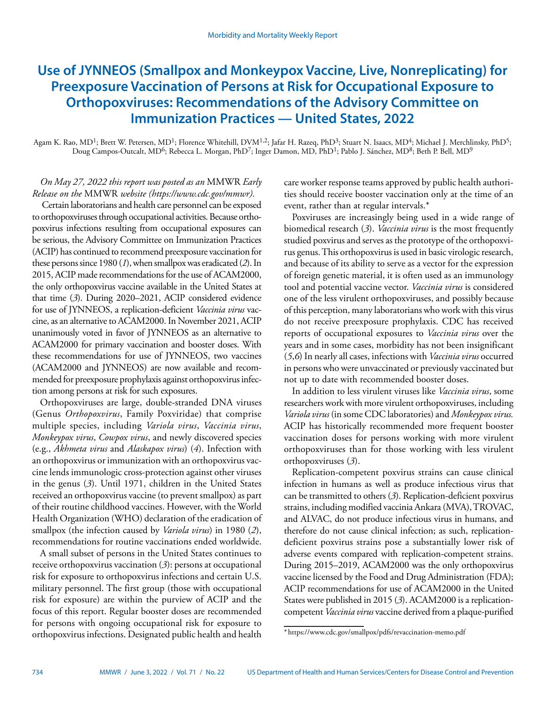# **Use of JYNNEOS (Smallpox and Monkeypox Vaccine, Live, Nonreplicating) for Preexposure Vaccination of Persons at Risk for Occupational Exposure to Orthopoxviruses: Recommendations of the Advisory Committee on Immunization Practices — United States, 2022**

Agam K. Rao, MD<sup>1</sup>; Brett W. Petersen, MD<sup>1</sup>; Florence Whitehill, DVM<sup>1,2</sup>; Jafar H. Razeq, PhD<sup>3</sup>; Stuart N. Isaacs, MD<sup>4</sup>; Michael J. Merchlinsky, PhD<sup>5</sup>; Doug Campos-Outcalt, MD<sup>6</sup>; Rebecca L. Morgan, PhD<sup>7</sup>; Inger Damon, MD, PhD<sup>1</sup>; Pablo J. Sánchez, MD<sup>8</sup>; Beth P. Bell, MD<sup>9</sup>

*On May 27, 2022 this report was posted as an* MMWR *Early Release on the* MMWR *website [\(https://www.cdc.gov/mmwr\)](https://www.cdc.gov/mmwr).*

Certain laboratorians and health care personnel can be exposed to orthopoxviruses through occupational activities. Because orthopoxvirus infections resulting from occupational exposures can be serious, the Advisory Committee on Immunization Practices (ACIP) has continued to recommend preexposure vaccination for these persons since 1980 (*1*), when smallpox was eradicated (*2*). In 2015, ACIP made recommendations for the use of ACAM2000, the only orthopoxvirus vaccine available in the United States at that time (*3*). During 2020–2021, ACIP considered evidence for use of JYNNEOS, a replication-deficient *Vaccinia virus* vaccine, as an alternative to ACAM2000. In November 2021, ACIP unanimously voted in favor of JYNNEOS as an alternative to ACAM2000 for primary vaccination and booster doses. With these recommendations for use of JYNNEOS, two vaccines (ACAM2000 and JYNNEOS) are now available and recommended for preexposure prophylaxis against orthopoxvirus infection among persons at risk for such exposures.

Orthopoxviruses are large, double-stranded DNA viruses (Genus *Orthopoxvirus*, Family Poxviridae) that comprise multiple species, including *Variola virus*, *Vaccinia virus*, *Monkeypox virus*, *Cowpox virus*, and newly discovered species (e.g., *Akhmeta virus* and *Alaskapox virus*) (*4*). Infection with an orthopoxvirus or immunization with an orthopoxvirus vaccine lends immunologic cross-protection against other viruses in the genus (*3*). Until 1971, children in the United States received an orthopoxvirus vaccine (to prevent smallpox) as part of their routine childhood vaccines. However, with the World Health Organization (WHO) declaration of the eradication of smallpox (the infection caused by *Variola virus*) in 1980 (*2*), recommendations for routine vaccinations ended worldwide.

A small subset of persons in the United States continues to receive orthopoxvirus vaccination (*3*): persons at occupational risk for exposure to orthopoxvirus infections and certain U.S. military personnel. The first group (those with occupational risk for exposure) are within the purview of ACIP and the focus of this report. Regular booster doses are recommended for persons with ongoing occupational risk for exposure to orthopoxvirus infections. Designated public health and health

care worker response teams approved by public health authorities should receive booster vaccination only at the time of an event, rather than at regular intervals.\*

Poxviruses are increasingly being used in a wide range of biomedical research (*3*). *Vaccinia virus* is the most frequently studied poxvirus and serves as the prototype of the orthopoxvirus genus. This orthopoxvirus is used in basic virologic research, and because of its ability to serve as a vector for the expression of foreign genetic material, it is often used as an immunology tool and potential vaccine vector. *Vaccinia virus* is considered one of the less virulent orthopoxviruses, and possibly because of this perception, many laboratorians who work with this virus do not receive preexposure prophylaxis. CDC has received reports of occupational exposures to *Vaccinia virus* over the years and in some cases, morbidity has not been insignificant (*5*,*6*) In nearly all cases, infections with *Vaccinia virus* occurred in persons who were unvaccinated or previously vaccinated but not up to date with recommended booster doses.

In addition to less virulent viruses like *Vaccinia virus*, some researchers work with more virulent orthopoxviruses, including *Variola virus* (in some CDC laboratories) and *Monkeypox virus.* ACIP has historically recommended more frequent booster vaccination doses for persons working with more virulent orthopoxviruses than for those working with less virulent orthopoxviruses (*3*).

Replication-competent poxvirus strains can cause clinical infection in humans as well as produce infectious virus that can be transmitted to others (*3*). Replication-deficient poxvirus strains, including modified vaccinia Ankara (MVA), TROVAC, and ALVAC, do not produce infectious virus in humans, and therefore do not cause clinical infection; as such, replicationdeficient poxvirus strains pose a substantially lower risk of adverse events compared with replication-competent strains. During 2015–2019, ACAM2000 was the only orthopoxvirus vaccine licensed by the Food and Drug Administration (FDA); ACIP recommendations for use of ACAM2000 in the United States were published in 2015 (*3*). ACAM2000 is a replicationcompetent *Vaccinia virus* vaccine derived from a plaque-purified

<sup>\*</sup> <https://www.cdc.gov/smallpox/pdfs/revaccination-memo.pdf>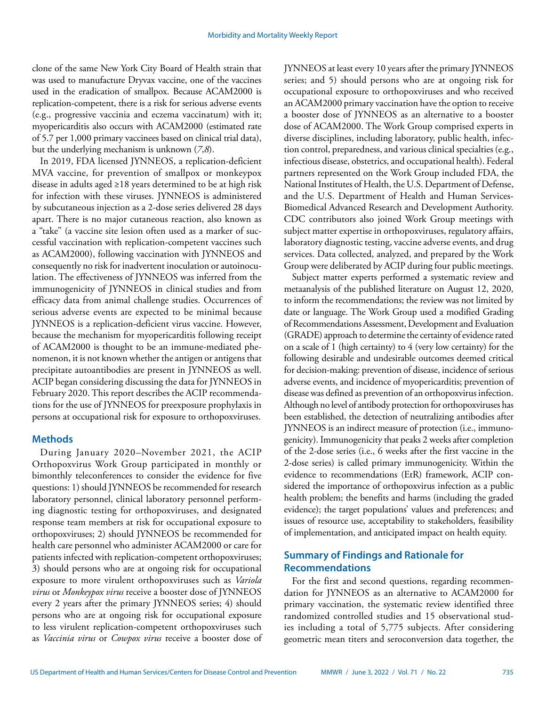clone of the same New York City Board of Health strain that was used to manufacture Dryvax vaccine, one of the vaccines used in the eradication of smallpox. Because ACAM2000 is replication-competent, there is a risk for serious adverse events (e.g., progressive vaccinia and eczema vaccinatum) with it; myopericarditis also occurs with ACAM2000 (estimated rate of 5.7 per 1,000 primary vaccinees based on clinical trial data), but the underlying mechanism is unknown (*7*,*8*).

In 2019, FDA licensed JYNNEOS, a replication-deficient MVA vaccine, for prevention of smallpox or monkeypox disease in adults aged ≥18 years determined to be at high risk for infection with these viruses. JYNNEOS is administered by subcutaneous injection as a 2-dose series delivered 28 days apart. There is no major cutaneous reaction, also known as a "take" (a vaccine site lesion often used as a marker of successful vaccination with replication-competent vaccines such as ACAM2000), following vaccination with JYNNEOS and consequently no risk for inadvertent inoculation or autoinoculation. The effectiveness of JYNNEOS was inferred from the immunogenicity of JYNNEOS in clinical studies and from efficacy data from animal challenge studies. Occurrences of serious adverse events are expected to be minimal because JYNNEOS is a replication-deficient virus vaccine. However, because the mechanism for myopericarditis following receipt of ACAM2000 is thought to be an immune-mediated phenomenon, it is not known whether the antigen or antigens that precipitate autoantibodies are present in JYNNEOS as well. ACIP began considering discussing the data for JYNNEOS in February 2020. This report describes the ACIP recommendations for the use of JYNNEOS for preexposure prophylaxis in persons at occupational risk for exposure to orthopoxviruses.

## **Methods**

During January 2020–November 2021, the ACIP Orthopoxvirus Work Group participated in monthly or bimonthly teleconferences to consider the evidence for five questions: 1) should JYNNEOS be recommended for research laboratory personnel, clinical laboratory personnel performing diagnostic testing for orthopoxviruses, and designated response team members at risk for occupational exposure to orthopoxviruses; 2) should JYNNEOS be recommended for health care personnel who administer ACAM2000 or care for patients infected with replication-competent orthopoxviruses; 3) should persons who are at ongoing risk for occupational exposure to more virulent orthopoxviruses such as *Variola virus* or *Monkeypox virus* receive a booster dose of JYNNEOS every 2 years after the primary JYNNEOS series; 4) should persons who are at ongoing risk for occupational exposure to less virulent replication-competent orthopoxviruses such as *Vaccinia virus* or *Cowpox virus* receive a booster dose of JYNNEOS at least every 10 years after the primary JYNNEOS series; and 5) should persons who are at ongoing risk for occupational exposure to orthopoxviruses and who received an ACAM2000 primary vaccination have the option to receive a booster dose of JYNNEOS as an alternative to a booster dose of ACAM2000. The Work Group comprised experts in diverse disciplines, including laboratory, public health, infection control, preparedness, and various clinical specialties (e.g., infectious disease, obstetrics, and occupational health). Federal partners represented on the Work Group included FDA, the National Institutes of Health, the U.S. Department of Defense, and the U.S. Department of Health and Human Services-Biomedical Advanced Research and Development Authority. CDC contributors also joined Work Group meetings with subject matter expertise in orthopoxviruses, regulatory affairs, laboratory diagnostic testing, vaccine adverse events, and drug services. Data collected, analyzed, and prepared by the Work Group were deliberated by ACIP during four public meetings.

Subject matter experts performed a systematic review and metaanalysis of the published literature on August 12, 2020, to inform the recommendations; the review was not limited by date or language. The Work Group used a modified Grading of Recommendations Assessment, Development and Evaluation (GRADE) approach to determine the certainty of evidence rated on a scale of 1 (high certainty) to 4 (very low certainty) for the following desirable and undesirable outcomes deemed critical for decision-making: prevention of disease, incidence of serious adverse events, and incidence of myopericarditis; prevention of disease was defined as prevention of an orthopoxvirus infection. Although no level of antibody protection for orthopoxviruses has been established, the detection of neutralizing antibodies after JYNNEOS is an indirect measure of protection (i.e., immunogenicity). Immunogenicity that peaks 2 weeks after completion of the 2-dose series (i.e., 6 weeks after the first vaccine in the 2-dose series) is called primary immunogenicity. Within the evidence to recommendations (EtR) framework, ACIP considered the importance of orthopoxvirus infection as a public health problem; the benefits and harms (including the graded evidence); the target populations' values and preferences; and issues of resource use, acceptability to stakeholders, feasibility of implementation, and anticipated impact on health equity.

# **Summary of Findings and Rationale for Recommendations**

For the first and second questions, regarding recommendation for JYNNEOS as an alternative to ACAM2000 for primary vaccination, the systematic review identified three randomized controlled studies and 15 observational studies including a total of 5,775 subjects. After considering geometric mean titers and seroconversion data together, the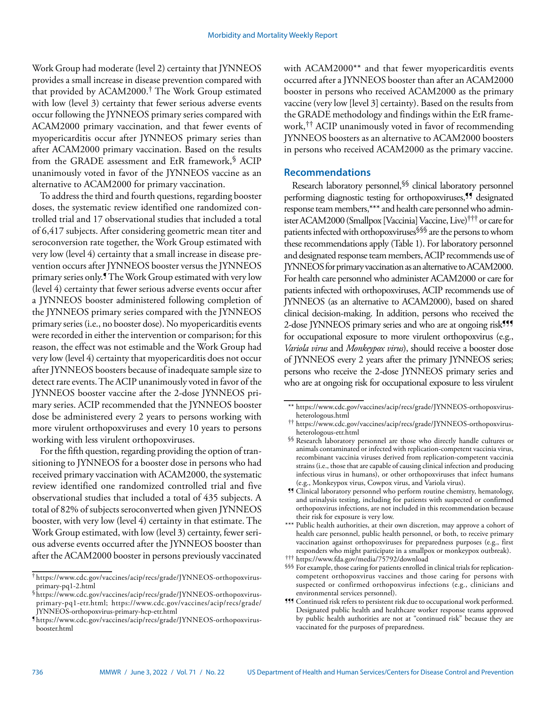Work Group had moderate (level 2) certainty that JYNNEOS provides a small increase in disease prevention compared with that provided by ACAM2000.† The Work Group estimated with low (level 3) certainty that fewer serious adverse events occur following the JYNNEOS primary series compared with ACAM2000 primary vaccination, and that fewer events of myopericarditis occur after JYNNEOS primary series than after ACAM2000 primary vaccination. Based on the results from the GRADE assessment and EtR framework,§ ACIP unanimously voted in favor of the JYNNEOS vaccine as an alternative to ACAM2000 for primary vaccination.

To address the third and fourth questions, regarding booster doses, the systematic review identified one randomized controlled trial and 17 observational studies that included a total of 6,417 subjects. After considering geometric mean titer and seroconversion rate together, the Work Group estimated with very low (level 4) certainty that a small increase in disease prevention occurs after JYNNEOS booster versus the JYNNEOS primary series only.¶ The Work Group estimated with very low (level 4) certainty that fewer serious adverse events occur after a JYNNEOS booster administered following completion of the JYNNEOS primary series compared with the JYNNEOS primary series (i.e., no booster dose). No myopericarditis events were recorded in either the intervention or comparison; for this reason, the effect was not estimable and the Work Group had very low (level 4) certainty that myopericarditis does not occur after JYNNEOS boosters because of inadequate sample size to detect rare events. The ACIP unanimously voted in favor of the JYNNEOS booster vaccine after the 2-dose JYNNEOS primary series. ACIP recommended that the JYNNEOS booster dose be administered every 2 years to persons working with more virulent orthopoxviruses and every 10 years to persons working with less virulent orthopoxviruses.

For the fifth question, regarding providing the option of transitioning to JYNNEOS for a booster dose in persons who had received primary vaccination with ACAM2000, the systematic review identified one randomized controlled trial and five observational studies that included a total of 435 subjects. A total of 82% of subjects seroconverted when given JYNNEOS booster, with very low (level 4) certainty in that estimate. The Work Group estimated, with low (level 3) certainty, fewer serious adverse events occurred after the JYNNEOS booster than after the ACAM2000 booster in persons previously vaccinated

with ACAM2000\*\* and that fewer myopericarditis events occurred after a JYNNEOS booster than after an ACAM2000 booster in persons who received ACAM2000 as the primary vaccine (very low [level 3] certainty). Based on the results from the GRADE methodology and findings within the EtR framework,†† ACIP unanimously voted in favor of recommending JYNNEOS boosters as an alternative to ACAM2000 boosters in persons who received ACAM2000 as the primary vaccine.

## **Recommendations**

Research laboratory personnel, SS clinical laboratory personnel performing diagnostic testing for orthopoxviruses,<sup>99</sup> designated response team members,\*\*\* and health care personnel who administer ACAM2000 (Smallpox [Vaccinia] Vaccine, Live)††† or care for patients infected with orthopoxviruses§§§ are the persons to whom these recommendations apply (Table 1). For laboratory personnel and designated response team members, ACIP recommends use of JYNNEOS for primary vaccination as an alternative to ACAM2000. For health care personnel who administer ACAM2000 or care for patients infected with orthopoxviruses, ACIP recommends use of JYNNEOS (as an alternative to ACAM2000), based on shared clinical decision-making. In addition, persons who received the 2-dose JYNNEOS primary series and who are at ongoing risk<sup>111</sup> for occupational exposure to more virulent orthopoxvirus (e.g., *Variola virus* and *Monkeypox virus*), should receive a booster dose of JYNNEOS every 2 years after the primary JYNNEOS series; persons who receive the 2-dose JYNNEOS primary series and who are at ongoing risk for occupational exposure to less virulent

<sup>†</sup> [https://www.cdc.gov/vaccines/acip/recs/grade/JYNNEOS-orthopoxvirus](https://www.cdc.gov/vaccines/acip/recs/grade/JYNNEOS-orthopoxvirus-primary-pq1-2.html)[primary-pq1-2.html](https://www.cdc.gov/vaccines/acip/recs/grade/JYNNEOS-orthopoxvirus-primary-pq1-2.html)

<sup>§</sup>[https://www.cdc.gov/vaccines/acip/recs/grade/JYNNEOS-orthopoxvirus](https://www.cdc.gov/vaccines/acip/recs/grade/JYNNEOS-orthopoxvirus-primary-pq1-etr.html)[primary-pq1-etr.html;](https://www.cdc.gov/vaccines/acip/recs/grade/JYNNEOS-orthopoxvirus-primary-pq1-etr.html) [https://www.cdc.gov/vaccines/acip/recs/grade/](https://www.cdc.gov/vaccines/acip/recs/grade/JYNNEOS-orthopoxvirus-primary-hcp-etr.html) [JYNNEOS-orthopoxvirus-primary-hcp-etr.html](https://www.cdc.gov/vaccines/acip/recs/grade/JYNNEOS-orthopoxvirus-primary-hcp-etr.html)

<sup>¶</sup> [https://www.cdc.gov/vaccines/acip/recs/grade/JYNNEOS-orthopoxvirus](https://www.cdc.gov/vaccines/acip/recs/grade/JYNNEOS-orthopoxvirus-booster.html)[booster.html](https://www.cdc.gov/vaccines/acip/recs/grade/JYNNEOS-orthopoxvirus-booster.html)

<sup>\*\*</sup> [https://www.cdc.gov/vaccines/acip/recs/grade/JYNNEOS-orthopoxvirus](https://www.cdc.gov/vaccines/acip/recs/grade/JYNNEOS-orthopoxvirus-heterologous.html)[heterologous.html](https://www.cdc.gov/vaccines/acip/recs/grade/JYNNEOS-orthopoxvirus-heterologous.html)

<sup>††</sup> [https://www.cdc.gov/vaccines/acip/recs/grade/JYNNEOS-orthopoxvirus](https://www.cdc.gov/vaccines/acip/recs/grade/JYNNEOS-orthopoxvirus-heterologous-etr.html)[heterologous-etr.html](https://www.cdc.gov/vaccines/acip/recs/grade/JYNNEOS-orthopoxvirus-heterologous-etr.html)

<sup>§§</sup> Research laboratory personnel are those who directly handle cultures or animals contaminated or infected with replication-competent vaccinia virus, recombinant vaccinia viruses derived from replication-competent vaccinia strains (i.e., those that are capable of causing clinical infection and producing infectious virus in humans), or other orthopoxviruses that infect humans (e.g., Monkeypox virus, Cowpox virus, and Variola virus).

<sup>¶¶</sup> Clinical laboratory personnel who perform routine chemistry, hematology, and urinalysis testing, including for patients with suspected or confirmed orthopoxvirus infections, are not included in this recommendation because their risk for exposure is very low.

<sup>\*\*\*</sup> Public health authorities, at their own discretion, may approve a cohort of health care personnel, public health personnel, or both, to receive primary vaccination against orthopoxviruses for preparedness purposes (e.g., first responders who might participate in a smallpox or monkeypox outbreak).

<sup>†††</sup> <https://www.fda.gov/media/75792/download>

<sup>§§§</sup> For example, those caring for patients enrolled in clinical trials for replicationcompetent orthopoxvirus vaccines and those caring for persons with suspected or confirmed orthopoxvirus infections (e.g., clinicians and environmental services personnel).

<sup>&</sup>lt;sup>111</sup> Continued risk refers to persistent risk due to occupational work performed. Designated public health and healthcare worker response teams approved by public health authorities are not at "continued risk" because they are vaccinated for the purposes of preparedness.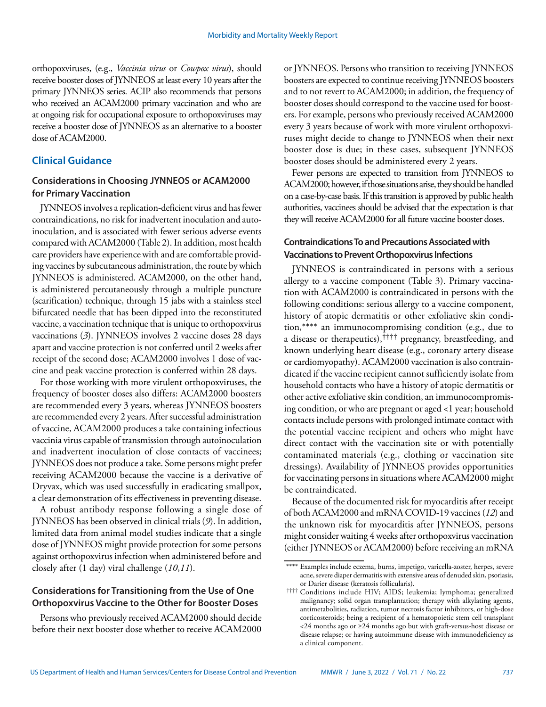orthopoxviruses, (e.g., *Vaccinia virus* or *Cowpox virus*), should receive booster doses of JYNNEOS at least every 10 years after the primary JYNNEOS series. ACIP also recommends that persons who received an ACAM2000 primary vaccination and who are at ongoing risk for occupational exposure to orthopoxviruses may receive a booster dose of JYNNEOS as an alternative to a booster dose of ACAM2000.

## **Clinical Guidance**

# **Considerations in Choosing JYNNEOS or ACAM2000 for Primary Vaccination**

JYNNEOS involves a replication-deficient virus and has fewer contraindications, no risk for inadvertent inoculation and autoinoculation, and is associated with fewer serious adverse events compared with ACAM2000 (Table 2). In addition, most health care providers have experience with and are comfortable providing vaccines by subcutaneous administration, the route by which JYNNEOS is administered. ACAM2000, on the other hand, is administered percutaneously through a multiple puncture (scarification) technique, through 15 jabs with a stainless steel bifurcated needle that has been dipped into the reconstituted vaccine, a vaccination technique that is unique to orthopoxvirus vaccinations (*3*). JYNNEOS involves 2 vaccine doses 28 days apart and vaccine protection is not conferred until 2 weeks after receipt of the second dose; ACAM2000 involves 1 dose of vaccine and peak vaccine protection is conferred within 28 days.

For those working with more virulent orthopoxviruses, the frequency of booster doses also differs: ACAM2000 boosters are recommended every 3 years, whereas JYNNEOS boosters are recommended every 2 years. After successful administration of vaccine, ACAM2000 produces a take containing infectious vaccinia virus capable of transmission through autoinoculation and inadvertent inoculation of close contacts of vaccinees; JYNNEOS does not produce a take. Some persons might prefer receiving ACAM2000 because the vaccine is a derivative of Dryvax, which was used successfully in eradicating smallpox, a clear demonstration of its effectiveness in preventing disease.

A robust antibody response following a single dose of JYNNEOS has been observed in clinical trials (*9*). In addition, limited data from animal model studies indicate that a single dose of JYNNEOS might provide protection for some persons against orthopoxvirus infection when administered before and closely after (1 day) viral challenge (*10*,*11*).

# **Considerations for Transitioning from the Use of One Orthopoxvirus Vaccine to the Other for Booster Doses**

Persons who previously received ACAM2000 should decide before their next booster dose whether to receive ACAM2000 or JYNNEOS. Persons who transition to receiving JYNNEOS boosters are expected to continue receiving JYNNEOS boosters and to not revert to ACAM2000; in addition, the frequency of booster doses should correspond to the vaccine used for boosters. For example, persons who previously received ACAM2000 every 3 years because of work with more virulent orthopoxviruses might decide to change to JYNNEOS when their next booster dose is due; in these cases, subsequent JYNNEOS booster doses should be administered every 2 years.

Fewer persons are expected to transition from JYNNEOS to ACAM2000; however, if those situations arise, they should be handled on a case-by-case basis. If this transition is approved by public health authorities, vaccinees should be advised that the expectation is that they will receive ACAM2000 for all future vaccine booster doses.

## **Contraindications To and Precautions Associated with Vaccinations to Prevent Orthopoxvirus Infections**

JYNNEOS is contraindicated in persons with a serious allergy to a vaccine component (Table 3). Primary vaccination with ACAM2000 is contraindicated in persons with the following conditions: serious allergy to a vaccine component, history of atopic dermatitis or other exfoliative skin condition,\*\*\*\* an immunocompromising condition (e.g., due to a disease or therapeutics),†††† pregnancy, breastfeeding, and known underlying heart disease (e.g., coronary artery disease or cardiomyopathy). ACAM2000 vaccination is also contraindicated if the vaccine recipient cannot sufficiently isolate from household contacts who have a history of atopic dermatitis or other active exfoliative skin condition, an immunocompromising condition, or who are pregnant or aged <1 year; household contacts include persons with prolonged intimate contact with the potential vaccine recipient and others who might have direct contact with the vaccination site or with potentially contaminated materials (e.g., clothing or vaccination site dressings). Availability of JYNNEOS provides opportunities for vaccinating persons in situations where ACAM2000 might be contraindicated.

Because of the documented risk for myocarditis after receipt of both ACAM2000 and mRNA COVID-19 vaccines (*12*) and the unknown risk for myocarditis after JYNNEOS, persons might consider waiting 4 weeks after orthopoxvirus vaccination (either JYNNEOS or ACAM2000) before receiving an mRNA

<sup>\*\*\*\*</sup> Examples include eczema, burns, impetigo, varicella-zoster, herpes, severe acne, severe diaper dermatitis with extensive areas of denuded skin, psoriasis, or Darier disease (keratosis follicularis).

<sup>††††</sup> Conditions include HIV; AIDS; leukemia; lymphoma; generalized malignancy; solid organ transplantation; therapy with alkylating agents, antimetabolities, radiation, tumor necrosis factor inhibitors, or high-dose corticosteroids; being a recipient of a hematopoietic stem cell transplant <24 months ago or ≥24 months ago but with graft-versus-host disease or disease relapse; or having autoimmune disease with immunodeficiency as a clinical component.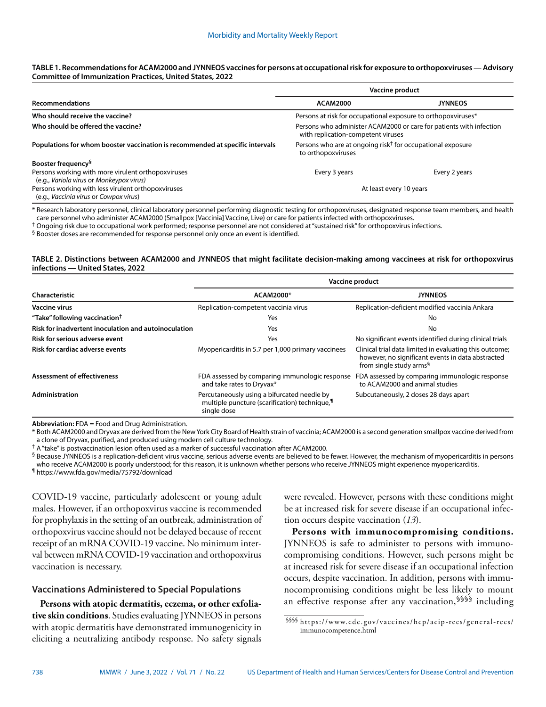#### **TABLE 1. Recommendations for ACAM2000 and JYNNEOS vaccines for persons at occupational risk for exposure to orthopoxviruses — Advisory Committee of Immunization Practices, United States, 2022**

|                                                                                                | Vaccine product                                                                                           |                |  |
|------------------------------------------------------------------------------------------------|-----------------------------------------------------------------------------------------------------------|----------------|--|
| <b>Recommendations</b>                                                                         | <b>ACAM2000</b>                                                                                           | <b>JYNNEOS</b> |  |
| Who should receive the vaccine?                                                                | Persons at risk for occupational exposure to orthopoxviruses*                                             |                |  |
| Who should be offered the vaccine?                                                             | Persons who administer ACAM2000 or care for patients with infection<br>with replication-competent viruses |                |  |
| Populations for whom booster vaccination is recommended at specific intervals                  | Persons who are at ongoing risk <sup>†</sup> for occupational exposure<br>to orthopoxviruses              |                |  |
| Booster frequency <sup>§</sup>                                                                 |                                                                                                           |                |  |
| Persons working with more virulent orthopoxviruses<br>(e.g., Variola virus or Monkeypox virus) | Every 3 years                                                                                             | Every 2 years  |  |
| Persons working with less virulent orthopoxviruses<br>(e.g., Vaccinia virus or Cowpox virus)   | At least every 10 years                                                                                   |                |  |

\* Research laboratory personnel, clinical laboratory personnel performing diagnostic testing for orthopoxviruses, designated response team members, and health care personnel who administer ACAM2000 (Smallpox [Vaccinia] Vaccine, Live) or care for patients infected with orthopoxviruses.

 $^\dagger$  Ongoing risk due to occupational work performed; response personnel are not considered at "sustained risk" for orthopoxvirus infections.

§ Booster doses are recommended for response personnel only once an event is identified.

#### **TABLE 2. Distinctions between ACAM2000 and JYNNEOS that might facilitate decision-making among vaccinees at risk for orthopoxvirus infections — United States, 2022**

|                                                      |                                                                                                            | Vaccine product                                                                                                                                     |  |  |
|------------------------------------------------------|------------------------------------------------------------------------------------------------------------|-----------------------------------------------------------------------------------------------------------------------------------------------------|--|--|
| ACAM2000*<br>Characteristic                          |                                                                                                            | <b>JYNNEOS</b>                                                                                                                                      |  |  |
| <b>Vaccine virus</b>                                 | Replication-competent vaccinia virus                                                                       | Replication-deficient modified vaccinia Ankara                                                                                                      |  |  |
| "Take" following vaccination <sup>†</sup>            | Yes                                                                                                        | No                                                                                                                                                  |  |  |
| Risk for inadvertent inoculation and autoinoculation | Yes                                                                                                        | No                                                                                                                                                  |  |  |
| Risk for serious adverse event                       | Yes                                                                                                        | No significant events identified during clinical trials                                                                                             |  |  |
| <b>Risk for cardiac adverse events</b>               | Myopericarditis in 5.7 per 1,000 primary vaccinees                                                         | Clinical trial data limited in evaluating this outcome;<br>however, no significant events in data abstracted<br>from single study arms <sup>§</sup> |  |  |
| <b>Assessment of effectiveness</b>                   | FDA assessed by comparing immunologic response<br>and take rates to Dryvax*                                | FDA assessed by comparing immunologic response<br>to ACAM2000 and animal studies                                                                    |  |  |
| Administration                                       | Percutaneously using a bifurcated needle by<br>multiple puncture (scarification) technique,<br>single dose | Subcutaneously, 2 doses 28 days apart                                                                                                               |  |  |

**Abbreviation:** FDA = Food and Drug Administration.

\* Both ACAM2000 and Dryvax are derived from the New York City Board of Health strain of vaccinia; ACAM2000 is a second generation smallpox vaccine derived from a clone of Dryvax, purified, and produced using modern cell culture technology.

† A "take" is postvaccination lesion often used as a marker of successful vaccination after ACAM2000.

§ Because JYNNEOS is a replication-deficient virus vaccine, serious adverse events are believed to be fewer. However, the mechanism of myopericarditis in persons

who receive ACAM2000 is poorly understood; for this reason, it is unknown whether persons who receive JYNNEOS might experience myopericarditis.

¶ <https://www.fda.gov/media/75792/download>

COVID-19 vaccine, particularly adolescent or young adult males. However, if an orthopoxvirus vaccine is recommended for prophylaxis in the setting of an outbreak, administration of orthopoxvirus vaccine should not be delayed because of recent receipt of an mRNA COVID-19 vaccine. No minimum interval between mRNA COVID-19 vaccination and orthopoxvirus vaccination is necessary.

## **Vaccinations Administered to Special Populations**

**Persons with atopic dermatitis, eczema, or other exfoliative skin conditions**. Studies evaluating JYNNEOS in persons with atopic dermatitis have demonstrated immunogenicity in eliciting a neutralizing antibody response. No safety signals were revealed. However, persons with these conditions might be at increased risk for severe disease if an occupational infection occurs despite vaccination (*13*).

**Persons with immunocompromising conditions.** JYNNEOS is safe to administer to persons with immunocompromising conditions. However, such persons might be at increased risk for severe disease if an occupational infection occurs, despite vaccination. In addition, persons with immunocompromising conditions might be less likely to mount an effective response after any vaccination,§§§§ including

<sup>§§§§</sup> [https://www.cdc.gov/vaccines/hcp/acip-recs/general-recs/](https://www.cdc.gov/vaccines/hcp/acip-recs/general-recs/immunocompetence.html) [immunocompetence.html](https://www.cdc.gov/vaccines/hcp/acip-recs/general-recs/immunocompetence.html)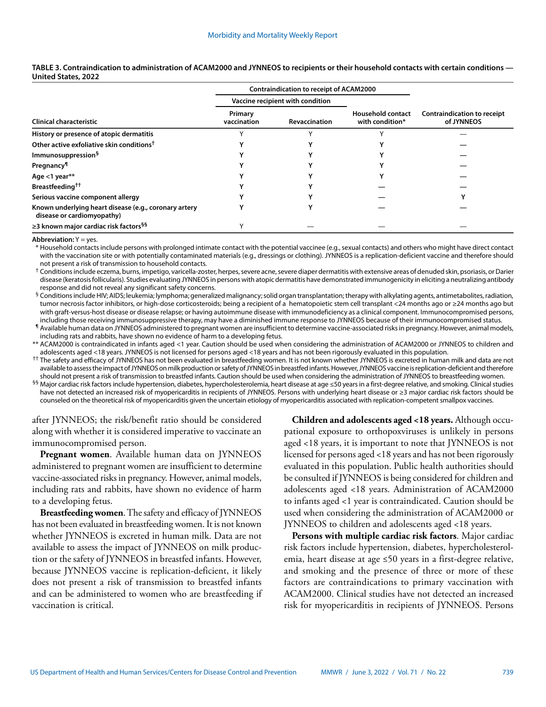|                                                                                     | <b>Contraindication to receipt of ACAM2000</b> |                      |                                             |                                                  |
|-------------------------------------------------------------------------------------|------------------------------------------------|----------------------|---------------------------------------------|--------------------------------------------------|
| <b>Clinical characteristic</b>                                                      | Vaccine recipient with condition               |                      |                                             |                                                  |
|                                                                                     | Primary<br>vaccination                         | <b>Revaccination</b> | <b>Household contact</b><br>with condition* | <b>Contraindication to receipt</b><br>of JYNNEOS |
| History or presence of atopic dermatitis                                            |                                                |                      |                                             |                                                  |
| Other active exfoliative skin conditions <sup>†</sup>                               |                                                |                      |                                             |                                                  |
| Immunosuppression <sup>§</sup>                                                      |                                                |                      |                                             |                                                  |
| <b>Pregnancy</b> <sup>1</sup>                                                       |                                                |                      |                                             |                                                  |
| Age <1 year**                                                                       |                                                |                      |                                             |                                                  |
| Breastfeeding <sup>††</sup>                                                         |                                                |                      |                                             |                                                  |
| Serious vaccine component allergy                                                   |                                                |                      |                                             |                                                  |
| Known underlying heart disease (e.g., coronary artery<br>disease or cardiomyopathy) |                                                |                      |                                             |                                                  |
| ≥3 known major cardiac risk factors <sup>§§</sup>                                   |                                                |                      |                                             |                                                  |

#### **TABLE 3. Contraindication to administration of ACAM2000 and JYNNEOS to recipients or their household contacts with certain conditions — United States, 2022**

**Abbreviation:** Y = yes.

\* Household contacts include persons with prolonged intimate contact with the potential vaccinee (e.g., sexual contacts) and others who might have direct contact with the vaccination site or with potentially contaminated materials (e.g., dressings or clothing). JYNNEOS is a replication-deficient vaccine and therefore should not present a risk of transmission to household contacts.

 $^\dagger$  Conditions include eczema, burns, impetigo, varicella-zoster, herpes, severe acne, severe diaper dermatitis with extensive areas of denuded skin, psoriasis, or Darier disease (keratosis follicularis). Studies evaluating JYNNEOS in persons with atopic dermatitis have demonstrated immunogenicity in eliciting a neutralizing antibody response and did not reveal any significant safety concerns.

§ Conditions include HIV; AIDS; leukemia; lymphoma; generalized malignancy; solid organ transplantation; therapy with alkylating agents, antimetabolites, radiation, tumor necrosis factor inhibitors, or high-dose corticosteroids; being a recipient of a hematopoietic stem cell transplant <24 months ago or ≥24 months ago but with graft-versus-host disease or disease relapse; or having autoimmune disease with immunodeficiency as a clinical component. Immunocompromised persons, including those receiving immunosuppressive therapy, may have a diminished immune response to JYNNEOS because of their immunocompromised status.

¶ Available human data on JYNNEOS administered to pregnant women are insufficient to determine vaccine-associated risks in pregnancy. However, animal models, including rats and rabbits, have shown no evidence of harm to a developing fetus.

\*\* ACAM2000 is contraindicated in infants aged <1 year. Caution should be used when considering the administration of ACAM2000 or JYNNEOS to children and adolescents aged <18 years. JYNNEOS is not licensed for persons aged <18 years and has not been rigorously evaluated in this population.

†† The safety and efficacy of JYNNEOS has not been evaluated in breastfeeding women. It is not known whether JYNNEOS is excreted in human milk and data are not available to assess the impact of JYNNEOS on milk production or safety of JYNNEOS in breastfed infants. However, JYNNEOS vaccine is replication-deficient and therefore should not present a risk of transmission to breastfed infants. Caution should be used when considering the administration of JYNNEOS to breastfeeding women.

§§ Major cardiac risk factors include hypertension, diabetes, hypercholesterolemia, heart disease at age ≤50 years in a first-degree relative, and smoking. Clinical studies have not detected an increased risk of myopericarditis in recipients of JYNNEOS. Persons with underlying heart disease or ≥3 major cardiac risk factors should be counseled on the theoretical risk of myopericarditis given the uncertain etiology of myopericarditis associated with replication-competent smallpox vaccines.

after JYNNEOS; the risk/benefit ratio should be considered along with whether it is considered imperative to vaccinate an immunocompromised person.

**Pregnant women**. Available human data on JYNNEOS administered to pregnant women are insufficient to determine vaccine-associated risks in pregnancy. However, animal models, including rats and rabbits, have shown no evidence of harm to a developing fetus.

**Breastfeeding women**. The safety and efficacy of JYNNEOS has not been evaluated in breastfeeding women. It is not known whether JYNNEOS is excreted in human milk. Data are not available to assess the impact of JYNNEOS on milk production or the safety of JYNNEOS in breastfed infants. However, because JYNNEOS vaccine is replication-deficient, it likely does not present a risk of transmission to breastfed infants and can be administered to women who are breastfeeding if vaccination is critical.

**Children and adolescents aged <18 years.** Although occupational exposure to orthopoxviruses is unlikely in persons aged <18 years, it is important to note that JYNNEOS is not licensed for persons aged <18 years and has not been rigorously evaluated in this population. Public health authorities should be consulted if JYNNEOS is being considered for children and adolescents aged <18 years. Administration of ACAM2000 to infants aged <1 year is contraindicated. Caution should be used when considering the administration of ACAM2000 or JYNNEOS to children and adolescents aged <18 years.

**Persons with multiple cardiac risk factors**. Major cardiac risk factors include hypertension, diabetes, hypercholesterolemia, heart disease at age ≤50 years in a first-degree relative, and smoking and the presence of three or more of these factors are contraindications to primary vaccination with ACAM2000. Clinical studies have not detected an increased risk for myopericarditis in recipients of JYNNEOS. Persons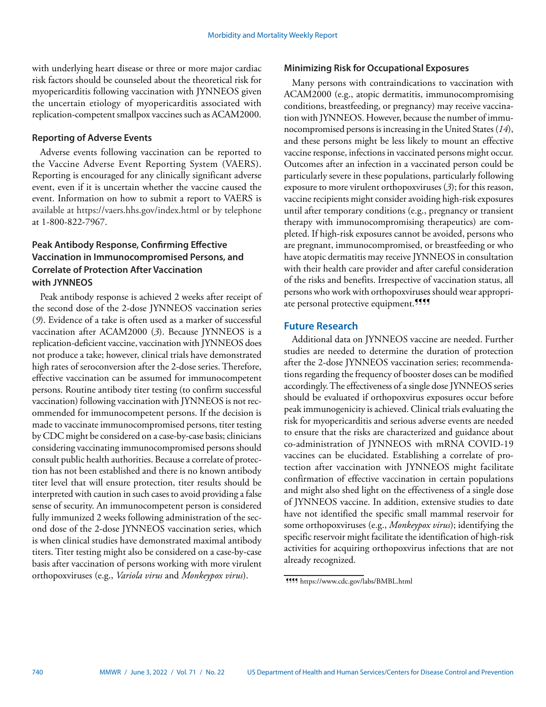with underlying heart disease or three or more major cardiac risk factors should be counseled about the theoretical risk for myopericarditis following vaccination with JYNNEOS given the uncertain etiology of myopericarditis associated with replication-competent smallpox vaccines such as ACAM2000.

## **Reporting of Adverse Events**

Adverse events following vaccination can be reported to the Vaccine Adverse Event Reporting System (VAERS). Reporting is encouraged for any clinically significant adverse event, even if it is uncertain whether the vaccine caused the event. Information on how to submit a report to VAERS is available at <https://vaers.hhs.gov/index.html>or by telephone at 1-800-822-7967.

# **Peak Antibody Response, Confirming Effective Vaccination in Immunocompromised Persons, and Correlate of Protection After Vaccination with JYNNEOS**

Peak antibody response is achieved 2 weeks after receipt of the second dose of the 2-dose JYNNEOS vaccination series (*9*). Evidence of a take is often used as a marker of successful vaccination after ACAM2000 (*3*). Because JYNNEOS is a replication-deficient vaccine, vaccination with JYNNEOS does not produce a take; however, clinical trials have demonstrated high rates of seroconversion after the 2-dose series. Therefore, effective vaccination can be assumed for immunocompetent persons. Routine antibody titer testing (to confirm successful vaccination) following vaccination with JYNNEOS is not recommended for immunocompetent persons. If the decision is made to vaccinate immunocompromised persons, titer testing by CDC might be considered on a case-by-case basis; clinicians considering vaccinating immunocompromised persons should consult public health authorities. Because a correlate of protection has not been established and there is no known antibody titer level that will ensure protection, titer results should be interpreted with caution in such cases to avoid providing a false sense of security. An immunocompetent person is considered fully immunized 2 weeks following administration of the second dose of the 2-dose JYNNEOS vaccination series, which is when clinical studies have demonstrated maximal antibody titers. Titer testing might also be considered on a case-by-case basis after vaccination of persons working with more virulent orthopoxviruses (e.g., *Variola virus* and *Monkeypox virus*).

## **Minimizing Risk for Occupational Exposures**

Many persons with contraindications to vaccination with ACAM2000 (e.g., atopic dermatitis, immunocompromising conditions, breastfeeding, or pregnancy) may receive vaccination with JYNNEOS. However, because the number of immunocompromised persons is increasing in the United States (*14*), and these persons might be less likely to mount an effective vaccine response, infections in vaccinated persons might occur. Outcomes after an infection in a vaccinated person could be particularly severe in these populations, particularly following exposure to more virulent orthopoxviruses (*3*); for this reason, vaccine recipients might consider avoiding high-risk exposures until after temporary conditions (e.g., pregnancy or transient therapy with immunocompromising therapeutics) are completed. If high-risk exposures cannot be avoided, persons who are pregnant, immunocompromised, or breastfeeding or who have atopic dermatitis may receive JYNNEOS in consultation with their health care provider and after careful consideration of the risks and benefits. Irrespective of vaccination status, all persons who work with orthopoxviruses should wear appropriate personal protective equipment.<sup>999</sup>

## **Future Research**

Additional data on JYNNEOS vaccine are needed. Further studies are needed to determine the duration of protection after the 2-dose JYNNEOS vaccination series; recommendations regarding the frequency of booster doses can be modified accordingly. The effectiveness of a single dose JYNNEOS series should be evaluated if orthopoxvirus exposures occur before peak immunogenicity is achieved. Clinical trials evaluating the risk for myopericarditis and serious adverse events are needed to ensure that the risks are characterized and guidance about co-administration of JYNNEOS with mRNA COVID-19 vaccines can be elucidated. Establishing a correlate of protection after vaccination with JYNNEOS might facilitate confirmation of effective vaccination in certain populations and might also shed light on the effectiveness of a single dose of JYNNEOS vaccine. In addition, extensive studies to date have not identified the specific small mammal reservoir for some orthopoxviruses (e.g., *Monkeypox virus*); identifying the specific reservoir might facilitate the identification of high-risk activities for acquiring orthopoxvirus infections that are not already recognized.

<sup>¶¶¶¶</sup> <https://www.cdc.gov/labs/BMBL.html>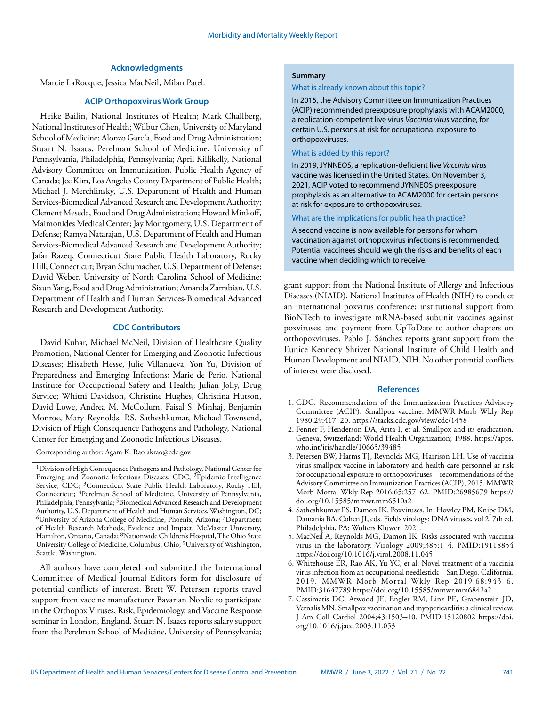## **Acknowledgments**

Marcie LaRocque, Jessica MacNeil, Milan Patel.

## **ACIP Orthopoxvirus Work Group**

Heike Bailin, National Institutes of Health; Mark Challberg, National Institutes of Health; Wilbur Chen, University of Maryland School of Medicine; Alonzo García, Food and Drug Administration; Stuart N. Isaacs, Perelman School of Medicine, University of Pennsylvania, Philadelphia, Pennsylvania; April Killikelly, National Advisory Committee on Immunization, Public Health Agency of Canada; Jee Kim, Los Angeles County Department of Public Health; Michael J. Merchlinsky, U.S. Department of Health and Human Services-Biomedical Advanced Research and Development Authority; Clement Meseda, Food and Drug Administration; Howard Minkoff, Maimonides Medical Center; Jay Montgomery, U.S. Department of Defense; Ramya Natarajan, U.S. Department of Health and Human Services-Biomedical Advanced Research and Development Authority; Jafar Razeq, Connecticut State Public Health Laboratory, Rocky Hill, Connecticut; Bryan Schumacher, U.S. Department of Defense; David Weber, University of North Carolina School of Medicine; Sixun Yang, Food and Drug Administration; Amanda Zarrabian, U.S. Department of Health and Human Services-Biomedical Advanced Research and Development Authority.

## **CDC Contributors**

David Kuhar, Michael McNeil, Division of Healthcare Quality Promotion, National Center for Emerging and Zoonotic Infectious Diseases; Elisabeth Hesse, Julie Villanueva, Yon Yu, Division of Preparedness and Emerging Infections; Marie de Perio, National Institute for Occupational Safety and Health; Julian Jolly, Drug Service; Whitni Davidson, Christine Hughes, Christina Hutson, David Lowe, Andrea M. McCollum, Faisal S. Minhaj, Benjamin Monroe, Mary Reynolds, P.S. Satheshkumar, Michael Townsend, Division of High Consequence Pathogens and Pathology, National Center for Emerging and Zoonotic Infectious Diseases.

Corresponding author: Agam K. Rao akrao@cdc.gov.

All authors have completed and submitted the International Committee of Medical Journal Editors form for disclosure of potential conflicts of interest. Brett W. Petersen reports travel support from vaccine manufacturer Bavarian Nordic to participate in the Orthopox Viruses, Risk, Epidemiology, and Vaccine Response seminar in London, England. Stuart N. Isaacs reports salary support from the Perelman School of Medicine, University of Pennsylvania;

#### **Summary**

#### What is already known about this topic?

In 2015, the Advisory Committee on Immunization Practices (ACIP) recommended preexposure prophylaxis with ACAM2000, a replication-competent live virus *Vaccinia virus* vaccine, for certain U.S. persons at risk for occupational exposure to orthopoxviruses.

#### What is added by this report?

In 2019, JYNNEOS, a replication-deficient live *Vaccinia virus* vaccine was licensed in the United States. On November 3, 2021, ACIP voted to recommend JYNNEOS preexposure prophylaxis as an alternative to ACAM2000 for certain persons at risk for exposure to orthopoxviruses.

What are the implications for public health practice?

A second vaccine is now available for persons for whom vaccination against orthopoxvirus infections is recommended. Potential vaccinees should weigh the risks and benefits of each vaccine when deciding which to receive.

grant support from the National Institute of Allergy and Infectious Diseases (NIAID), National Institutes of Health (NIH) to conduct an international poxvirus conference; institutional support from BioNTech to investigate mRNA-based subunit vaccines against poxviruses; and payment from UpToDate to author chapters on orthopoxviruses. Pablo J. Sánchez reports grant support from the Eunice Kennedy Shriver National Institute of Child Health and Human Development and NIAID, NIH. No other potential conflicts of interest were disclosed.

#### **References**

- 1. CDC. Recommendation of the Immunization Practices Advisory Committee (ACIP). Smallpox vaccine. MMWR Morb Wkly Rep 1980;29:417–20.<https://stacks.cdc.gov/view/cdc/1458>
- 2. Fenner F, Henderson DA, Arita I, et al. Smallpox and its eradication. Geneva, Switzerland: World Health Organization; 1988. [https://apps.](https://apps.who.int/iris/handle/10665/39485) [who.int/iris/handle/10665/39485](https://apps.who.int/iris/handle/10665/39485)
- 3. Petersen BW, Harms TJ, Reynolds MG, Harrison LH. Use of vaccinia virus smallpox vaccine in laboratory and health care personnel at risk for occupational exposure to orthopoxviruses—recommendations of the Advisory Committee on Immunization Practices (ACIP), 2015. MMWR Morb Mortal Wkly Rep 2016;65:257–62[. PMID:26985679](https://www.ncbi.nlm.nih.gov/entrez/query.fcgi?cmd=Retrieve&db=PubMed&list_uids=26985679&dopt=Abstract) [https://](https://doi.org/10.15585/mmwr.mm6510a2) [doi.org/10.15585/mmwr.mm6510a2](https://doi.org/10.15585/mmwr.mm6510a2)
- 4. Satheshkumar PS, Damon IK. Poxviruses. In: Howley PM, Knipe DM, Damania BA, Cohen JI, eds. Fields virology: DNA viruses, vol 2. 7th ed. Philadelphia, PA: Wolters Kluwer; 2021.
- 5. MacNeil A, Reynolds MG, Damon IK. Risks associated with vaccinia virus in the laboratory. Virology 2009;385:1–4[. PMID:19118854](https://www.ncbi.nlm.nih.gov/entrez/query.fcgi?cmd=Retrieve&db=PubMed&list_uids=19118854&dopt=Abstract) <https://doi.org/10.1016/j.virol.2008.11.045>
- 6. Whitehouse ER, Rao AK, Yu YC, et al. Novel treatment of a vaccinia virus infection from an occupational needlestick—San Diego, California, 2019. MMWR Morb Mortal Wkly Rep 2019;68:943–6. [PMID:31647789](https://www.ncbi.nlm.nih.gov/entrez/query.fcgi?cmd=Retrieve&db=PubMed&list_uids=31647789&dopt=Abstract) <https://doi.org/10.15585/mmwr.mm6842a2>
- 7. Cassimatis DC, Atwood JE, Engler RM, Linz PE, Grabenstein JD, Vernalis MN. Smallpox vaccination and myopericarditis: a clinical review. J Am Coll Cardiol 2004;43:1503–10[. PMID:15120802](https://www.ncbi.nlm.nih.gov/entrez/query.fcgi?cmd=Retrieve&db=PubMed&list_uids=15120802&dopt=Abstract) [https://doi.](https://doi.org/10.1016/j.jacc.2003.11.053) [org/10.1016/j.jacc.2003.11.053](https://doi.org/10.1016/j.jacc.2003.11.053)

<sup>1</sup>Division of High Consequence Pathogens and Pathology, National Center for Emerging and Zoonotic Infectious Diseases, CDC; <sup>2</sup>Epidemic Intelligence Service, CDC; <sup>3</sup>Connecticut State Public Health Laboratory, Rocky Hill, Connecticut; <sup>4</sup>Perelman School of Medicine, University of Pennsylvania, Philadelphia, Pennsylvania; 5Biomedical Advanced Research and Development Authority, U.S. Department of Health and Human Services, Washington, DC; 6University of Arizona College of Medicine, Phoenix, Arizona; 7Department of Health Research Methods, Evidence and Impact, McMaster University, Hamilton, Ontario, Canada; 8Nationwide Children's Hospital, The Ohio State University College of Medicine, Columbus, Ohio; 9University of Washington, Seattle, Washington.